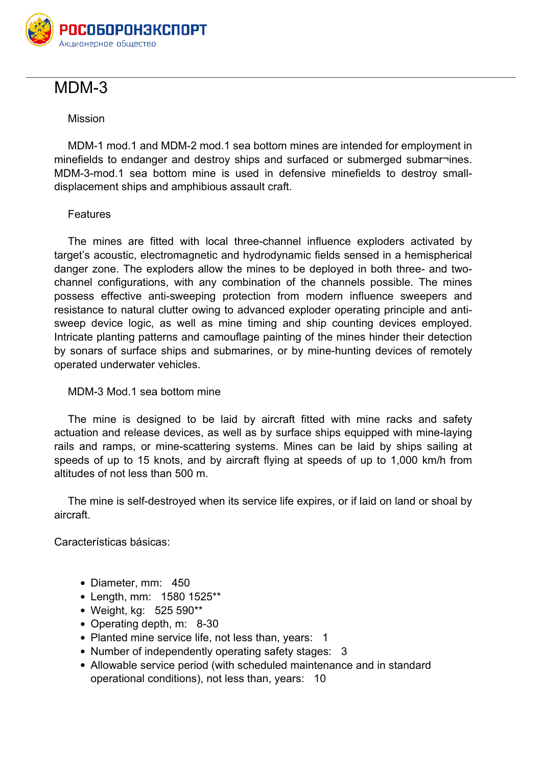

## **МDМ-3**

## **Mission**

MDM-1 mod.1 and MDM-2 mod.1 sea bottom mines are intended for employment in minefields to endanger and destroy ships and surfaced or submerged submar-ines. MDM-3-mod.1 sea bottom mine is used in defensive minefields to destroy smalldisplacement ships and amphibious assault craft.

## **Features**

The mines are fitted with local three-channel influence exploders activated by target's acoustic, electromagnetic and hydrodynamic fields sensed in a hemispherical danger zone. The exploders allow the mines to be deployed in both three- and twochannel configurations, with any combination of the channels possible. The mines possess effective anti-sweeping protection from modern influence sweepers and resistance to natural clutter owing to advanced exploder operating principle and antisweep device logic, as well as mine timing and ship counting devices employed. Intricate planting patterns and camouflage painting of the mines hinder their detection by sonars of surface ships and submarines, or by mine-hunting devices of remotely operated underwater vehicles.

## **MDM-3 Mod.1 sea bottom mine**

The mine is designed to be laid by aircraft fitted with mine racks and safety actuation and release devices, as well as by surface ships equipped with mine-laying rails and ramps, or mine-scattering systems. Mines can be laid by ships sailing at speeds of up to 15 knots, and by aircraft flying at speeds of up to 1,000 km/h from altitudes of not less than 500 m.

The mine is self-destroyed when its service life expires, or if laid on land or shoal by aircraft.

**Características básicas**:

- **Diameter, mm:** 450
- **Length, mm:** 1580 1525\*\*
- **Weight, kg:** 525 590\*\*
- **Operating depth, m:** 8-30
- **Planted mine service life, not less than, years:** 1
- **Number of independently operating safety stages:** 3
- **Allowable service period (with scheduled maintenance and in standard operational conditions), not less than, years:** 10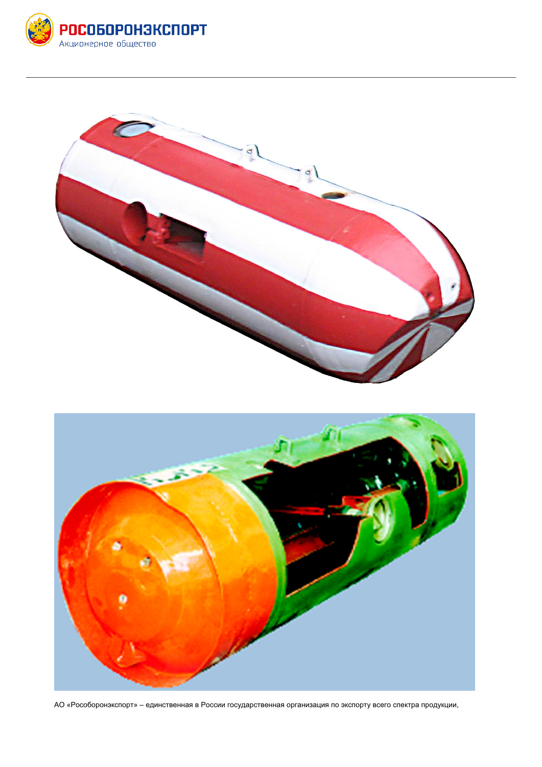





АО «Рособоронэкспорт» – единственная в России государственная организация по экспорту всего спектра продукции,